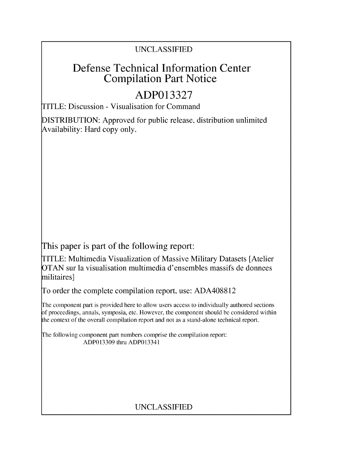### UNCLASSIFIED

## Defense Technical Information Center Compilation Part Notice

# **ADP013327**

TITLE: Discussion - Visualisation for Command

DISTRIBUTION: Approved for public release, distribution unlimited Availability: Hard copy only.

This paper is part of the following report:

TITLE: Multimedia Visualization of Massive Military Datasets [Atelier OTAN sur la visualisation multimedia d'ensembles massifs de donnees militaires]

To order the complete compilation report, use: ADA408812

The component part is provided here to allow users access to individually authored sections **)f** proceedings, annals, symposia, etc. However, the component should be considered within [he context of the overall compilation report and not as a stand-alone technical report.

The following component part numbers comprise the compilation report: ADP013309 thru ADP013341

## UNCLASSIFIED